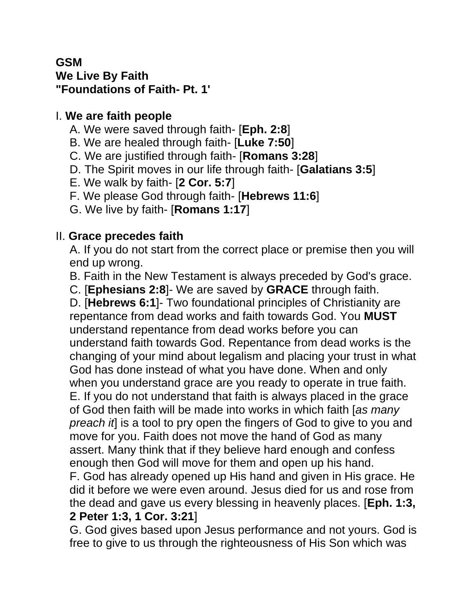#### **GSM We Live By Faith "Foundations of Faith- Pt. 1'**

### I. **We are faith people**

- A. We were saved through faith- [**Eph. 2:8**]
- B. We are healed through faith- [**Luke 7:50**]
- C. We are justified through faith- [**Romans 3:28**]
- D. The Spirit moves in our life through faith- [**Galatians 3:5**]
- E. We walk by faith- [**2 Cor. 5:7**]
- F. We please God through faith- [**Hebrews 11:6**]
- G. We live by faith- [**Romans 1:17**]

# II. **Grace precedes faith**

A. If you do not start from the correct place or premise then you will end up wrong.

B. Faith in the New Testament is always preceded by God's grace.

C. [**Ephesians 2:8**]- We are saved by **GRACE** through faith.

D. [**Hebrews 6:1**]- Two foundational principles of Christianity are repentance from dead works and faith towards God. You **MUST** understand repentance from dead works before you can understand faith towards God. Repentance from dead works is the changing of your mind about legalism and placing your trust in what God has done instead of what you have done. When and only when you understand grace are you ready to operate in true faith. E. If you do not understand that faith is always placed in the grace of God then faith will be made into works in which faith [*as many preach it*] is a tool to pry open the fingers of God to give to you and move for you. Faith does not move the hand of God as many assert. Many think that if they believe hard enough and confess enough then God will move for them and open up his hand. F. God has already opened up His hand and given in His grace. He did it before we were even around. Jesus died for us and rose from the dead and gave us every blessing in heavenly places. [**Eph. 1:3,** 

#### **2 Peter 1:3, 1 Cor. 3:21**]

G. God gives based upon Jesus performance and not yours. God is free to give to us through the righteousness of His Son which was